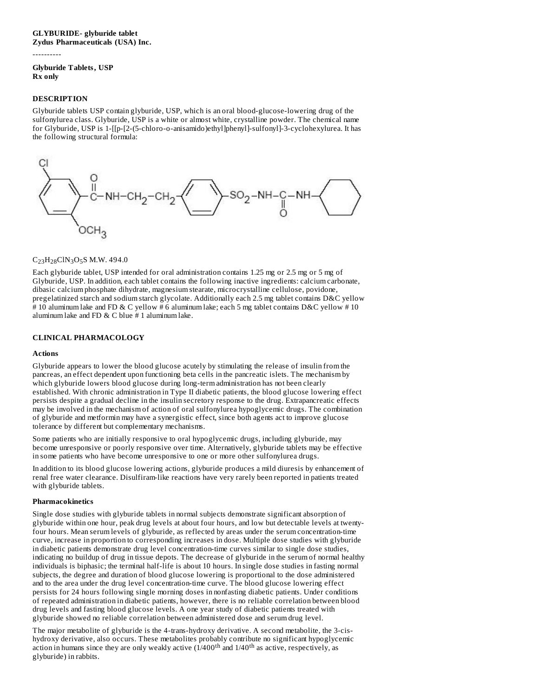# **Glyburide Tablets, USP Rx only**

# **DESCRIPTION**

----------

Glyburide tablets USP contain glyburide, USP, which is an oral blood-glucose-lowering drug of the sulfonylurea class. Glyburide, USP is a white or almost white, crystalline powder. The chemical name for Glyburide, USP is 1-[[p-[2-(5-chloro-o-anisamido)ethyl]phenyl]-sulfonyl]-3-cyclohexylurea. It has the following structural formula:



# $\rm{C_{23}H_{28}CIN_3O_5S}$  M.W. 494.0

Each glyburide tablet, USP intended for oral administration contains 1.25 mg or 2.5 mg or 5 mg of Glyburide, USP. In addition, each tablet contains the following inactive ingredients: calcium carbonate, dibasic calcium phosphate dihydrate, magnesium stearate, microcrystalline cellulose, povidone, pregelatinized starch and sodium starch glycolate. Additionally each 2.5 mg tablet contains D&C yellow # 10 aluminum lake and FD & C yellow # 6 aluminum lake; each 5 mg tablet contains D&C yellow # 10 aluminum lake and FD & C blue # 1 aluminum lake.

# **CLINICAL PHARMACOLOGY**

#### **Actions**

Glyburide appears to lower the blood glucose acutely by stimulating the release of insulin from the pancreas, an effect dependent upon functioning beta cells in the pancreatic islets. The mechanism by which glyburide lowers blood glucose during long-term administration has not been clearly established. With chronic administration in Type II diabetic patients, the blood glucose lowering effect persists despite a gradual decline in the insulin secretory response to the drug. Extrapancreatic effects may be involved in the mechanism of action of oral sulfonylurea hypoglycemic drugs. The combination of glyburide and metformin may have a synergistic effect, since both agents act to improve glucose tolerance by different but complementary mechanisms.

Some patients who are initially responsive to oral hypoglycemic drugs, including glyburide, may become unresponsive or poorly responsive over time. Alternatively, glyburide tablets may be effective in some patients who have become unresponsive to one or more other sulfonylurea drugs.

In addition to its blood glucose lowering actions, glyburide produces a mild diuresis by enhancement of renal free water clearance. Disulfiram-like reactions have very rarely been reported in patients treated with glyburide tablets.

#### **Pharmacokinetics**

Single dose studies with glyburide tablets in normal subjects demonstrate significant absorption of glyburide within one hour, peak drug levels at about four hours, and low but detectable levels at twentyfour hours. Mean serum levels of glyburide, as reflected by areas under the serum concentration-time curve, increase in proportion to corresponding increases in dose. Multiple dose studies with glyburide in diabetic patients demonstrate drug level concentration-time curves similar to single dose studies, indicating no buildup of drug in tissue depots. The decrease of glyburide in the serum of normal healthy individuals is biphasic; the terminal half-life is about 10 hours. In single dose studies in fasting normal subjects, the degree and duration of blood glucose lowering is proportional to the dose administered and to the area under the drug level concentration-time curve. The blood glucose lowering effect persists for 24 hours following single morning doses in nonfasting diabetic patients. Under conditions of repeated administration in diabetic patients, however, there is no reliable correlation between blood drug levels and fasting blood glucose levels. A one year study of diabetic patients treated with glyburide showed no reliable correlation between administered dose and serum drug level.

The major metabolite of glyburide is the 4-trans-hydroxy derivative. A second metabolite, the 3-cishydroxy derivative, also occurs. These metabolites probably contribute no significant hypoglycemic action in humans since they are only weakly active  $(1/400^{\text{th}}$  and  $1/40^{\text{th}}$  as active, respectively, as glyburide) in rabbits.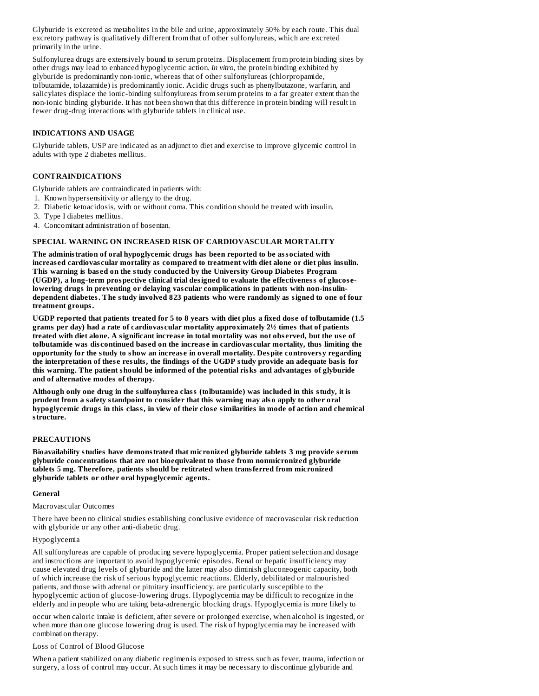Glyburide is excreted as metabolites in the bile and urine, approximately 50% by each route. This dual excretory pathway is qualitatively different from that of other sulfonylureas, which are excreted primarily in the urine.

Sulfonylurea drugs are extensively bound to serum proteins. Displacement from protein binding sites by other drugs may lead to enhanced hypoglycemic action. *In vitro*, the protein binding exhibited by glyburide is predominantly non-ionic, whereas that of other sulfonylureas (chlorpropamide, tolbutamide, tolazamide) is predominantly ionic. Acidic drugs such as phenylbutazone, warfarin, and salicylates displace the ionic-binding sulfonylureas from serum proteins to a far greater extent than the non-ionic binding glyburide. It has not been shown that this difference in protein binding will result in fewer drug-drug interactions with glyburide tablets in clinical use.

# **INDICATIONS AND USAGE**

Glyburide tablets, USP are indicated as an adjunct to diet and exercise to improve glycemic control in adults with type 2 diabetes mellitus.

# **CONTRAINDICATIONS**

Glyburide tablets are contraindicated in patients with:

- 1. Known hypersensitivity or allergy to the drug.
- 2. Diabetic ketoacidosis, with or without coma. This condition should be treated with insulin.
- 3. Type I diabetes mellitus.
- 4. Concomitant administration of bosentan.

# **SPECIAL WARNING ON INCREASED RISK OF CARDIOVASCULAR MORTALITY**

**The administration of oral hypoglycemic drugs has been reported to be associated with increas ed cardiovas cular mortality as compared to treatment with diet alone or diet plus insulin. This warning is bas ed on the study conducted by the University Group Diabetes Program (UGDP), a long-term prospective clinical trial designed to evaluate the effectiveness of glucos elowering drugs in preventing or delaying vas cular complications in patients with non-insulindependent diabetes. The study involved 823 patients who were randomly as signed to one of four treatment groups.**

UGDP reported that patients treated for 5 to 8 years with diet plus a fixed dose of tolbutamide (1.5 **grams per day) had a rate of cardiovas cular mortality approximately 2½ times that of patients** treated with diet alone. A significant increase in total mortality was not observed, but the use of **tolbutamide was dis continued bas ed on the increas e in cardiovas cular mortality, thus limiting the opportunity for the study to show an increas e in overall mortality. Despite controversy regarding the interpretation of thes e results, the findings of the UGDP study provide an adequate basis for this warning. The patient should be informed of the potential risks and advantages of glyburide and of alternative modes of therapy.**

**Although only one drug in the sulfonylurea class (tolbutamide) was included in this study, it is prudent from a safety standpoint to consider that this warning may also apply to other oral** hypoglycemic drugs in this class, in view of their close similarities in mode of action and chemical **structure.**

#### **PRECAUTIONS**

**Bioavailability studies have demonstrated that micronized glyburide tablets 3 mg provide s erum glyburide concentrations that are not bioequivalent to thos e from nonmicronized glyburide tablets 5 mg. Therefore, patients should be retitrated when transferred from micronized glyburide tablets or other oral hypoglycemic agents.**

#### **General**

#### Macrovascular Outcomes

There have been no clinical studies establishing conclusive evidence of macrovascular risk reduction with glyburide or any other anti-diabetic drug.

#### Hypoglycemia

All sulfonylureas are capable of producing severe hypoglycemia. Proper patient selection and dosage and instructions are important to avoid hypoglycemic episodes. Renal or hepatic insufficiency may cause elevated drug levels of glyburide and the latter may also diminish gluconeogenic capacity, both of which increase the risk of serious hypoglycemic reactions. Elderly, debilitated or malnourished patients, and those with adrenal or pituitary insufficiency, are particularly susceptible to the hypoglycemic action of glucose-lowering drugs. Hypoglycemia may be difficult to recognize in the elderly and in people who are taking beta-adrenergic blocking drugs. Hypoglycemia is more likely to

occur when caloric intake is deficient, after severe or prolonged exercise, when alcohol is ingested, or when more than one glucose lowering drug is used. The risk of hypoglycemia may be increased with combination therapy.

#### Loss of Control of Blood Glucose

When a patient stabilized on any diabetic regimen is exposed to stress such as fever, trauma, infection or surgery, a loss of control may occur. At such times it may be necessary to discontinue glyburide and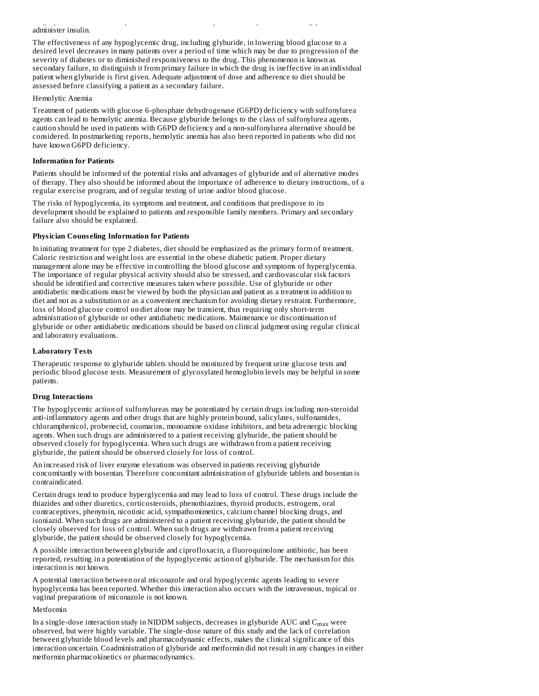#### surgery, a loss of control may occur. At such times it may be necessary to discontinue glyburide and administer insulin.

The effectiveness of any hypoglycemic drug, including glyburide, in lowering blood glucose to a desired level decreases in many patients over a period of time which may be due to progression of the severity of diabetes or to diminished responsiveness to the drug. This phenomenon is known as secondary failure, to distinguish it from primary failure in which the drug is ineffective in an individual patient when glyburide is first given. Adequate adjustment of dose and adherence to diet should be assessed before classifying a patient as a secondary failure.

#### Hemolytic Anemia

Treatment of patients with glucose 6-phosphate dehydrogenase (G6PD) deficiency with sulfonylurea agents can lead to hemolytic anemia. Because glyburide belongs to the class of sulfonylurea agents, caution should be used in patients with G6PD deficiency and a non-sulfonylurea alternative should be considered. In postmarketing reports, hemolytic anemia has also been reported in patients who did not have known G6PD deficiency.

## **Information for Patients**

Patients should be informed of the potential risks and advantages of glyburide and of alternative modes of therapy. They also should be informed about the importance of adherence to dietary instructions, of a regular exercise program, and of regular testing of urine and/or blood glucose.

The risks of hypoglycemia, its symptoms and treatment, and conditions that predispose to its development should be explained to patients and responsible family members. Primary and secondary failure also should be explained.

# **Physician Couns eling Information for Patients**

In initiating treatment for type 2 diabetes, diet should be emphasized as the primary form of treatment. Caloric restriction and weight loss are essential in the obese diabetic patient. Proper dietary management alone may be effective in controlling the blood glucose and symptoms of hyperglycemia. The importance of regular physical activity should also be stressed, and cardiovascular risk factors should be identified and corrective measures taken where possible. Use of glyburide or other antidiabetic medications must be viewed by both the physician and patient as a treatment in addition to diet and not as a substitution or as a convenient mechanism for avoiding dietary restraint. Furthermore, loss of blood glucose control on diet alone may be transient, thus requiring only short-term administration of glyburide or other antidiabetic medications. Maintenance or discontinuation of glyburide or other antidiabetic medications should be based on clinical judgment using regular clinical and laboratory evaluations.

## **Laboratory Tests**

Therapeutic response to glyburide tablets should be monitored by frequent urine glucose tests and periodic blood glucose tests. Measurement of glycosylated hemoglobin levels may be helpful in some patients.

# **Drug Interactions**

The hypoglycemic action of sulfonylureas may be potentiated by certain drugs including non-steroidal anti-inflammatory agents and other drugs that are highly protein bound, salicylates, sulfonamides, chloramphenicol, probenecid, coumarins, monoamine oxidase inhibitors, and beta adrenergic blocking agents. When such drugs are administered to a patient receiving glyburide, the patient should be observed closely for hypoglycemia. When such drugs are withdrawn from a patient receiving glyburide, the patient should be observed closely for loss of control.

An increased risk of liver enzyme elevations was observed in patients receiving glyburide concomitantly with bosentan. Therefore concomitant administration of glyburide tablets and bosentan is contraindicated.

Certain drugs tend to produce hyperglycemia and may lead to loss of control. These drugs include the thiazides and other diuretics, corticosteroids, phenothiazines, thyroid products, estrogens, oral contraceptives, phenytoin, nicotinic acid, sympathomimetics, calcium channel blocking drugs, and isoniazid. When such drugs are administered to a patient receiving glyburide, the patient should be closely observed for loss of control. When such drugs are withdrawn from a patient receiving glyburide, the patient should be observed closely for hypoglycemia.

A possible interaction between glyburide and ciprofloxacin, a fluoroquinolone antibiotic, has been reported, resulting in a potentiation of the hypoglycemic action of glyburide. The mechanism for this interaction is not known.

A potential interaction between oral miconazole and oral hypoglycemic agents leading to severe hypoglycemia has been reported. Whether this interaction also occurs with the intravenous, topical or vaginal preparations of miconazole is not known.

#### Metformin

In a single-dose interaction study in NIDDM subjects, decreases in glyburide  $\rm AUC$  and  $\rm C_{max}$  were observed, but were highly variable. The single-dose nature of this study and the lack of correlation between glyburide blood levels and pharmacodynamic effects, makes the clinical significance of this interaction uncertain. Coadministration of glyburide and metformin did not result in any changes in either metformin pharmacokinetics or pharmacodynamics.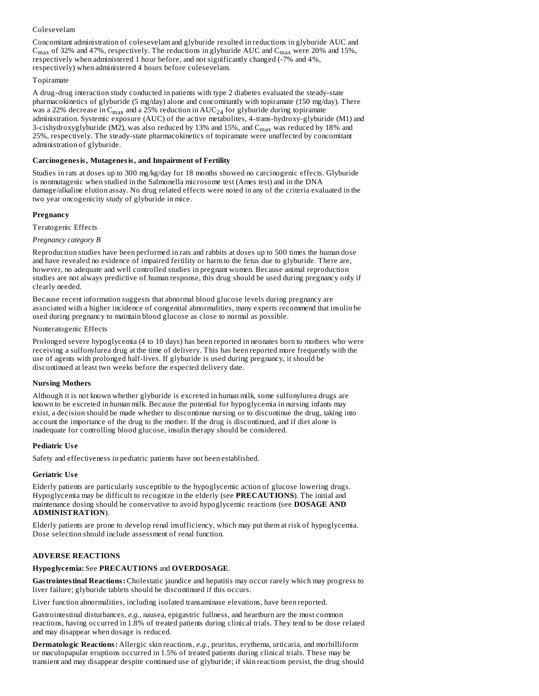# Colesevelam

Concomitant administration of colesevelam and glyburide resulted in reductions in glyburide AUC and  $\rm C_{max}$  of 32% and 47%, respectively. The reductions in glyburide AUC and  $\rm C_{max}$  were 20% and 15%, respectively when administered 1 hour before, and not significantly changed (-7% and 4%, respectively) when administered 4 hours before colesevelam.

## Topiramate

A drug-drug interaction study conducted in patients with type 2 diabetes evaluated the steady-state pharmacokinetics of glyburide (5 mg/day) alone and concomitantly with topiramate (150 mg/day). There was a 22% decrease in  $\rm{C_{max}}$  and a 25% reduction in  $\rm{AUC_{24}}$  for glyburide during topiramate administration. Systemic exposure (AUC) of the active metabolites, 4-trans-hydroxy-glyburide (M1) and 3-cishydroxyglyburide (M2), was also reduced by 13% and 15%, and  $\rm C_{max}$  was reduced by 18% and 25%, respectively. The steady-state pharmacokinetics of topiramate were unaffected by concomitant administration of glyburide.

## **Carcinogenesis, Mutagenesis, and Impairment of Fertility**

Studies in rats at doses up to 300 mg/kg/day for 18 months showed no carcinogenic effects. Glyburide is nonmutagenic when studied in the Salmonella microsome test (Ames test) and in the DNA damage/alkaline elution assay. No drug related effects were noted in any of the criteria evaluated in the two year oncogenicity study of glyburide in mice.

# **Pregnancy**

Teratogenic Effects

#### *Pregnancy category B*

Reproduction studies have been performed in rats and rabbits at doses up to 500 times the human dose and have revealed no evidence of impaired fertility or harm to the fetus due to glyburide. There are, however, no adequate and well controlled studies in pregnant women. Because animal reproduction studies are not always predictive of human response, this drug should be used during pregnancy only if clearly needed.

Because recent information suggests that abnormal blood glucose levels during pregnancy are associated with a higher incidence of congenital abnormalities, many experts recommend that insulin be used during pregnancy to maintain blood glucose as close to normal as possible.

#### Nonteratogenic Effects

Prolonged severe hypoglycemia (4 to 10 days) has been reported in neonates born to mothers who were receiving a sulfonylurea drug at the time of delivery. This has been reported more frequently with the use of agents with prolonged half-lives. If glyburide is used during pregnancy, it should be discontinued at least two weeks before the expected delivery date.

# **Nursing Mothers**

Although it is not known whether glyburide is excreted in human milk, some sulfonylurea drugs are known to be excreted in human milk. Because the potential for hypoglycemia in nursing infants may exist, a decision should be made whether to discontinue nursing or to discontinue the drug, taking into account the importance of the drug to the mother. If the drug is discontinued, and if diet alone is inadequate for controlling blood glucose, insulin therapy should be considered.

# **Pediatric Us e**

Safety and effectiveness in pediatric patients have not been established.

# **Geriatric Us e**

Elderly patients are particularly susceptible to the hypoglycemic action of glucose lowering drugs. Hypoglycemia may be difficult to recognize in the elderly (see **PRECAUTIONS**). The initial and maintenance dosing should be conservative to avoid hypoglycemic reactions (see **DOSAGE AND ADMINISTRATION**).

Elderly patients are prone to develop renal insufficiency, which may put them at risk of hypoglycemia. Dose selection should include assessment of renal function.

# **ADVERSE REACTIONS**

# **Hypoglycemia:** See **PRECAUTIONS** and **OVERDOSAGE**.

**Gastrointestinal Reactions:** Cholestatic jaundice and hepatitis may occur rarely which may progress to liver failure; glyburide tablets should be discontinued if this occurs.

Liver function abnormalities, including isolated transaminase elevations, have been reported.

Gastrointestinal disturbances, *e.g.*, nausea, epigastric fullness, and heartburn are the most common reactions, having occurred in 1.8% of treated patients during clinical trials. They tend to be dose related and may disappear when dosage is reduced.

**Dermatologic Reactions:** Allergic skin reactions, *e.g.*, pruritus, erythema, urticaria, and morbilliform or maculopapular eruptions occurred in 1.5% of treated patients during clinical trials. These may be transient and may disappear despite continued use of glyburide; if skin reactions persist, the drug should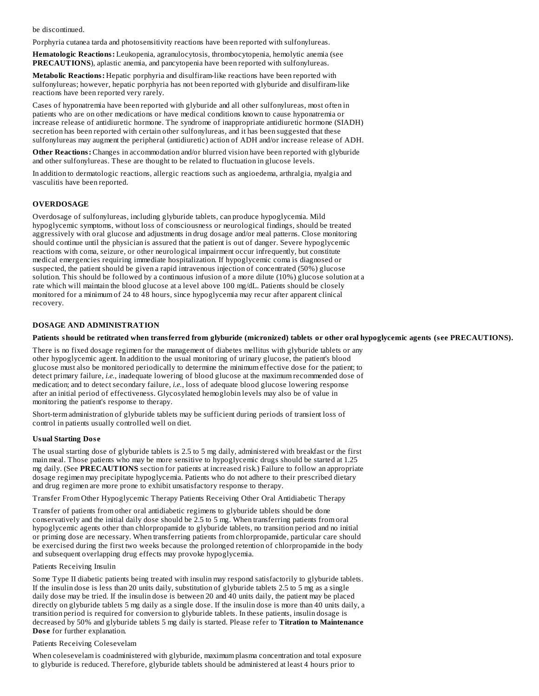be discontinued.

Porphyria cutanea tarda and photosensitivity reactions have been reported with sulfonylureas.

**Hematologic Reactions:** Leukopenia, agranulocytosis, thrombocytopenia, hemolytic anemia (see **PRECAUTIONS**), aplastic anemia, and pancytopenia have been reported with sulfonylureas.

**Metabolic Reactions:** Hepatic porphyria and disulfiram-like reactions have been reported with sulfonylureas; however, hepatic porphyria has not been reported with glyburide and disulfiram-like reactions have been reported very rarely.

Cases of hyponatremia have been reported with glyburide and all other sulfonylureas, most often in patients who are on other medications or have medical conditions known to cause hyponatremia or increase release of antidiuretic hormone. The syndrome of inappropriate antidiuretic hormone (SIADH) secretion has been reported with certain other sulfonylureas, and it has been suggested that these sulfonylureas may augment the peripheral (antidiuretic) action of ADH and/or increase release of ADH.

**Other Reactions:** Changes in accommodation and/or blurred vision have been reported with glyburide and other sulfonylureas. These are thought to be related to fluctuation in glucose levels.

In addition to dermatologic reactions, allergic reactions such as angioedema, arthralgia, myalgia and vasculitis have been reported.

# **OVERDOSAGE**

Overdosage of sulfonylureas, including glyburide tablets, can produce hypoglycemia. Mild hypoglycemic symptoms, without loss of consciousness or neurological findings, should be treated aggressively with oral glucose and adjustments in drug dosage and/or meal patterns. Close monitoring should continue until the physician is assured that the patient is out of danger. Severe hypoglycemic reactions with coma, seizure, or other neurological impairment occur infrequently, but constitute medical emergencies requiring immediate hospitalization. If hypoglycemic coma is diagnosed or suspected, the patient should be given a rapid intravenous injection of concentrated (50%) glucose solution. This should be followed by a continuous infusion of a more dilute (10%) glucose solution at a rate which will maintain the blood glucose at a level above 100 mg/dL. Patients should be closely monitored for a minimum of 24 to 48 hours, since hypoglycemia may recur after apparent clinical recovery.

# **DOSAGE AND ADMINISTRATION**

#### Patients should be retitrated when transferred from glyburide (micronized) tablets or other oral hypoglycemic agents (see PRECAUTIONS).

There is no fixed dosage regimen for the management of diabetes mellitus with glyburide tablets or any other hypoglycemic agent. In addition to the usual monitoring of urinary glucose, the patient's blood glucose must also be monitored periodically to determine the minimum effective dose for the patient; to detect primary failure, *i.e.*, inadequate lowering of blood glucose at the maximum recommended dose of medication; and to detect secondary failure, *i.e.*, loss of adequate blood glucose lowering response after an initial period of effectiveness. Glycosylated hemoglobin levels may also be of value in monitoring the patient's response to therapy.

Short-term administration of glyburide tablets may be sufficient during periods of transient loss of control in patients usually controlled well on diet.

# **Usual Starting Dos e**

The usual starting dose of glyburide tablets is 2.5 to 5 mg daily, administered with breakfast or the first main meal. Those patients who may be more sensitive to hypoglycemic drugs should be started at 1.25 mg daily. (See **PRECAUTIONS** section for patients at increased risk.) Failure to follow an appropriate dosage regimen may precipitate hypoglycemia. Patients who do not adhere to their prescribed dietary and drug regimen are more prone to exhibit unsatisfactory response to therapy.

Transfer From Other Hypoglycemic Therapy Patients Receiving Other Oral Antidiabetic Therapy

Transfer of patients from other oral antidiabetic regimens to glyburide tablets should be done conservatively and the initial daily dose should be 2.5 to 5 mg. When transferring patients from oral hypoglycemic agents other than chlorpropamide to glyburide tablets, no transition period and no initial or priming dose are necessary. When transferring patients from chlorpropamide, particular care should be exercised during the first two weeks because the prolonged retention of chlorpropamide in the body and subsequent overlapping drug effects may provoke hypoglycemia.

#### Patients Receiving Insulin

Some Type II diabetic patients being treated with insulin may respond satisfactorily to glyburide tablets. If the insulin dose is less than 20 units daily, substitution of glyburide tablets 2.5 to 5 mg as a single daily dose may be tried. If the insulin dose is between 20 and 40 units daily, the patient may be placed directly on glyburide tablets 5 mg daily as a single dose. If the insulin dose is more than 40 units daily, a transition period is required for conversion to glyburide tablets. In these patients, insulin dosage is decreased by 50% and glyburide tablets 5 mg daily is started. Please refer to **Titration to Maintenance Dos e** for further explanation.

#### Patients Receiving Colesevelam

When colesevelam is coadministered with glyburide, maximum plasma concentration and total exposure to glyburide is reduced. Therefore, glyburide tablets should be administered at least 4 hours prior to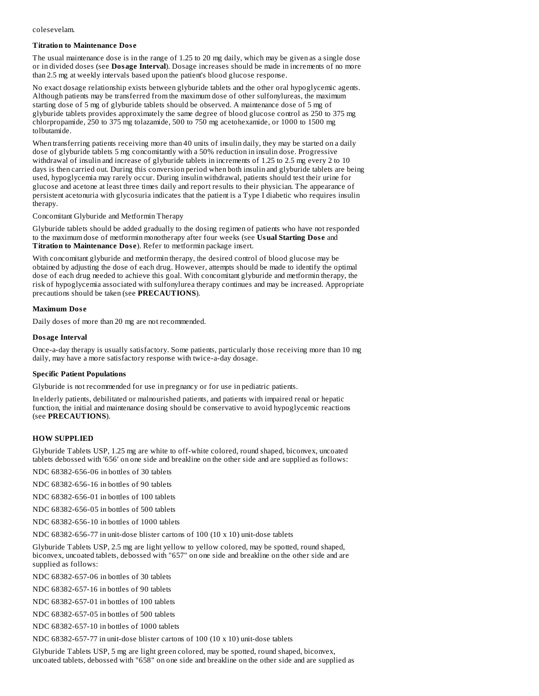colesevelam.

#### **Titration to Maintenance Dos e**

The usual maintenance dose is in the range of 1.25 to 20 mg daily, which may be given as a single dose or in divided doses (see **Dosage Interval**). Dosage increases should be made in increments of no more than 2.5 mg at weekly intervals based upon the patient's blood glucose response.

No exact dosage relationship exists between glyburide tablets and the other oral hypoglycemic agents. Although patients may be transferred from the maximum dose of other sulfonylureas, the maximum starting dose of 5 mg of glyburide tablets should be observed. A maintenance dose of 5 mg of glyburide tablets provides approximately the same degree of blood glucose control as 250 to 375 mg chlorpropamide, 250 to 375 mg tolazamide, 500 to 750 mg acetohexamide, or 1000 to 1500 mg tolbutamide.

When transferring patients receiving more than 40 units of insulin daily, they may be started on a daily dose of glyburide tablets 5 mg concomitantly with a 50% reduction in insulin dose. Progressive withdrawal of insulin and increase of glyburide tablets in increments of 1.25 to 2.5 mg every 2 to 10 days is then carried out. During this conversion period when both insulin and glyburide tablets are being used, hypoglycemia may rarely occur. During insulin withdrawal, patients should test their urine for glucose and acetone at least three times daily and report results to their physician. The appearance of persistent acetonuria with glycosuria indicates that the patient is a Type I diabetic who requires insulin therapy.

# Concomitant Glyburide and Metformin Therapy

Glyburide tablets should be added gradually to the dosing regimen of patients who have not responded to the maximum dose of metformin monotherapy after four weeks (see **Usual Starting Dos e** and **Titration to Maintenance Dos e**). Refer to metformin package insert.

With concomitant glyburide and metformin therapy, the desired control of blood glucose may be obtained by adjusting the dose of each drug. However, attempts should be made to identify the optimal dose of each drug needed to achieve this goal. With concomitant glyburide and metformin therapy, the risk of hypoglycemia associated with sulfonylurea therapy continues and may be increased. Appropriate precautions should be taken (see **PRECAUTIONS**).

#### **Maximum Dos e**

Daily doses of more than 20 mg are not recommended.

# **Dosage Interval**

Once-a-day therapy is usually satisfactory. Some patients, particularly those receiving more than 10 mg daily, may have a more satisfactory response with twice-a-day dosage.

# **Specific Patient Populations**

Glyburide is not recommended for use in pregnancy or for use in pediatric patients.

In elderly patients, debilitated or malnourished patients, and patients with impaired renal or hepatic function, the initial and maintenance dosing should be conservative to avoid hypoglycemic reactions (see **PRECAUTIONS**).

# **HOW SUPPLIED**

Glyburide Tablets USP, 1.25 mg are white to off-white colored, round shaped, biconvex, uncoated tablets debossed with '656' on one side and breakline on the other side and are supplied as follows:

NDC 68382-656-06 in bottles of 30 tablets

NDC 68382-656-16 in bottles of 90 tablets

NDC 68382-656-01 in bottles of 100 tablets

NDC 68382-656-05 in bottles of 500 tablets

NDC 68382-656-10 in bottles of 1000 tablets

NDC 68382-656-77 in unit-dose blister cartons of 100 (10 x 10) unit-dose tablets

Glyburide Tablets USP, 2.5 mg are light yellow to yellow colored, may be spotted, round shaped, biconvex, uncoated tablets, debossed with "657" on one side and breakline on the other side and are supplied as follows:

NDC 68382-657-06 in bottles of 30 tablets

NDC 68382-657-16 in bottles of 90 tablets

NDC 68382-657-01 in bottles of 100 tablets

NDC 68382-657-05 in bottles of 500 tablets

NDC 68382-657-10 in bottles of 1000 tablets

NDC 68382-657-77 in unit-dose blister cartons of 100 (10 x 10) unit-dose tablets

Glyburide Tablets USP, 5 mg are light green colored, may be spotted, round shaped, biconvex, uncoated tablets, debossed with "658" on one side and breakline on the other side and are supplied as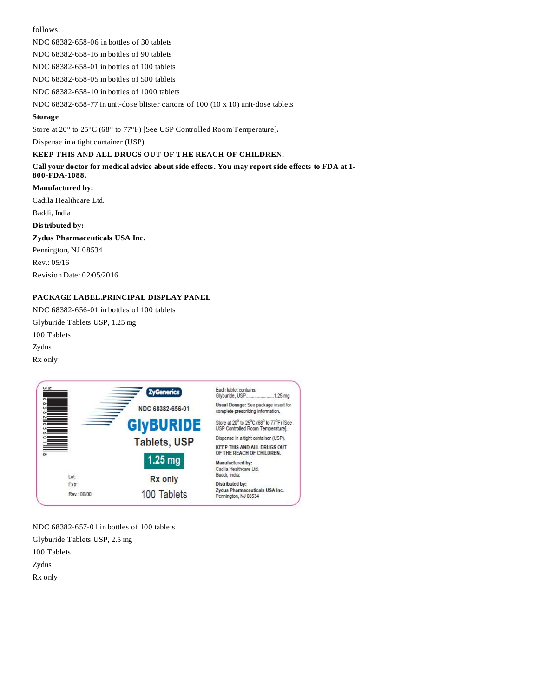follows: NDC 68382-658-06 in bottles of 30 tablets NDC 68382-658-16 in bottles of 90 tablets NDC 68382-658-01 in bottles of 100 tablets NDC 68382-658-05 in bottles of 500 tablets NDC 68382-658-10 in bottles of 1000 tablets NDC 68382-658-77 in unit-dose blister cartons of 100 (10 x 10) unit-dose tablets **Storage** Store at 20° to 25°C (68° to 77°F) [See USP Controlled Room Temperature]**.** Dispense in a tight container (USP). **KEEP THIS AND ALL DRUGS OUT OF THE REACH OF CHILDREN. Call your doctor for medical advice about side effects. You may report side effects to FDA at 1- 800-FDA-1088. Manufactured by:** Cadila Healthcare Ltd. Baddi, India **Distributed by: Zydus Pharmaceuticals USA Inc.** Pennington, NJ 08534 Rev.: 05/16 Revision Date: 02/05/2016

# **PACKAGE LABEL.PRINCIPAL DISPLAY PANEL**

NDC 68382-656-01 in bottles of 100 tablets Glyburide Tablets USP, 1.25 mg 100 Tablets Zydus Rx only



NDC 68382-657-01 in bottles of 100 tablets Glyburide Tablets USP, 2.5 mg 100 Tablets

Zydus

Rx only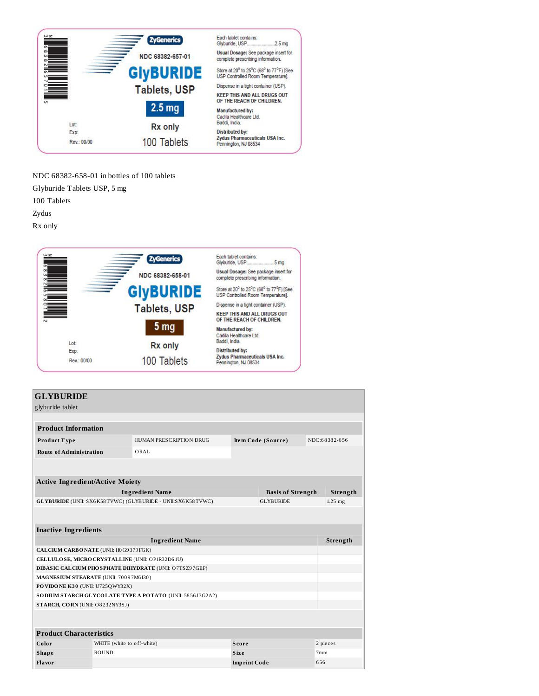

NDC 68382-658-01 in bottles of 100 tablets Glyburide Tablets USP, 5 mg 100 Tablets Zydus

Rx only



# **GLYBURIDE** glyburide tablet **Product Information Product T ype** HUMAN PRESCRIPTION DRUG **Ite m Code (Source )** NDC:6 8 38 2-6 56 **Route of Administration** ORAL **Active Ingredient/Active Moiety Ingredient Name Basis** of Strength **Strength GLYBURIDE** (UNII: SX6K58TVWC) (GLYBURIDE - UNII:SX6K58TVWC) GLYBURIDE 1.25 mg **Inactive Ingredients Ingredient Name Strength CALCIUM CARBONATE** (UNII: H0G9 379 FGK) **CELLULOSE, MICROCRYSTALLINE** (UNII: OP1R32D6 1U) **DIBASIC CALCIUM PHOSPHATE DIHYDRATE** (UNII: O7TSZ9 7GEP) **MAGNESIUM STEARATE** (UNII: 70 0 9 7M6 I30 ) **POVIDONE K3 0** (UNII: U725QWY32X) **SODIUM STARCH GLYCOLATE TYPE A POTATO** (UNII: 58 56 J3G2A2) **STARCH, CORN** (UNII: O8 232NY3SJ) **Product Characteristics Color WHITE** (white to off-white) **Score 2** pieces **Shape** ROUND **Siz e** 7mm **Flavor Imprint Code** 6 56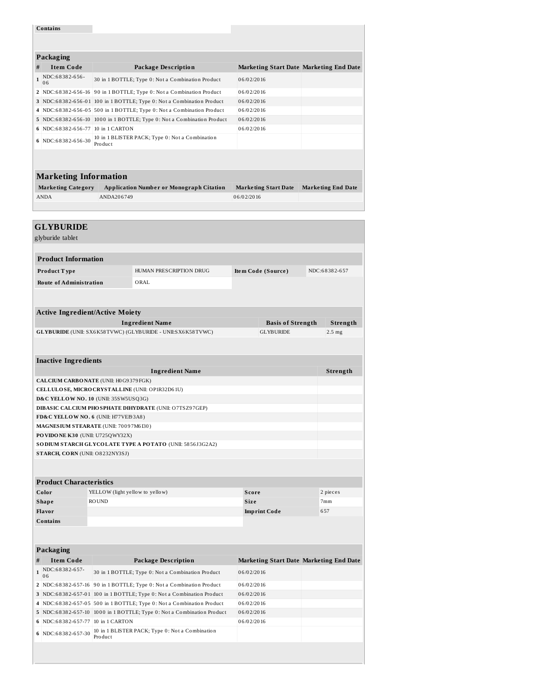| <b>Packaging</b><br>#<br><b>Item Code</b>                                                                                                                                                                                                                                                                                                                                            |                                 | <b>Package Description</b>                                                                                                                      |            | <b>Marketing Start Date Marketing End Date</b> |  |                           |  |
|--------------------------------------------------------------------------------------------------------------------------------------------------------------------------------------------------------------------------------------------------------------------------------------------------------------------------------------------------------------------------------------|---------------------------------|-------------------------------------------------------------------------------------------------------------------------------------------------|------------|------------------------------------------------|--|---------------------------|--|
| NDC:68382-656-                                                                                                                                                                                                                                                                                                                                                                       |                                 |                                                                                                                                                 |            |                                                |  |                           |  |
| $\mathbf 1$<br>06                                                                                                                                                                                                                                                                                                                                                                    |                                 | 30 in 1 BOTTLE; Type 0: Not a Combination Product                                                                                               |            | 06/02/2016                                     |  |                           |  |
|                                                                                                                                                                                                                                                                                                                                                                                      |                                 | 2 NDC:68382-656-16 90 in 1 BOTTLE; Type 0: Not a Combination Product                                                                            |            | 06/02/2016                                     |  |                           |  |
|                                                                                                                                                                                                                                                                                                                                                                                      |                                 | 3 NDC:68382-656-01 100 in 1 BOTTLE; Type 0: Not a Combination Product                                                                           | 06/02/2016 |                                                |  |                           |  |
|                                                                                                                                                                                                                                                                                                                                                                                      |                                 | 4 NDC:68382-656-05 500 in 1 BOTTLE; Type 0: Not a Combination Product<br>5 NDC:68382-656-10 1000 in 1 BOTTLE; Type 0: Not a Combination Product |            | 06/02/2016<br>06/02/2016                       |  |                           |  |
|                                                                                                                                                                                                                                                                                                                                                                                      |                                 |                                                                                                                                                 |            | 06/02/2016                                     |  |                           |  |
| 6 NDC:68382-656-77 10 in 1 CARTON<br>10 in 1 BLISTER PACK; Type 0: Not a Combination<br>6 NDC:68382-656-30                                                                                                                                                                                                                                                                           |                                 |                                                                                                                                                 |            |                                                |  |                           |  |
|                                                                                                                                                                                                                                                                                                                                                                                      | Product                         |                                                                                                                                                 |            |                                                |  |                           |  |
| <b>Marketing Information</b>                                                                                                                                                                                                                                                                                                                                                         |                                 |                                                                                                                                                 |            |                                                |  |                           |  |
| <b>Marketing Category</b>                                                                                                                                                                                                                                                                                                                                                            |                                 | <b>Application Number or Monograph Citation</b>                                                                                                 |            | <b>Marketing Start Date</b>                    |  | <b>Marketing End Date</b> |  |
| <b>ANDA</b>                                                                                                                                                                                                                                                                                                                                                                          | ANDA206749                      |                                                                                                                                                 |            | 06/02/2016                                     |  |                           |  |
| <b>GLYBURIDE</b><br>glyburide tablet                                                                                                                                                                                                                                                                                                                                                 |                                 |                                                                                                                                                 |            |                                                |  |                           |  |
| <b>Product Information</b>                                                                                                                                                                                                                                                                                                                                                           |                                 |                                                                                                                                                 |            |                                                |  |                           |  |
| Product Type                                                                                                                                                                                                                                                                                                                                                                         |                                 | HUMAN PRESCRIPTION DRUG                                                                                                                         |            | Item Code (Source)                             |  | NDC:68382-657             |  |
| <b>Route of Administration</b>                                                                                                                                                                                                                                                                                                                                                       |                                 | ORAL                                                                                                                                            |            |                                                |  |                           |  |
|                                                                                                                                                                                                                                                                                                                                                                                      |                                 |                                                                                                                                                 |            |                                                |  |                           |  |
| <b>Active Ingredient/Active Moiety</b>                                                                                                                                                                                                                                                                                                                                               |                                 | <b>Ingredient Name</b>                                                                                                                          |            | <b>Basis of Strength</b>                       |  | Strength                  |  |
|                                                                                                                                                                                                                                                                                                                                                                                      |                                 | GLYBURIDE (UNII: SX6K58TVWC) (GLYBURIDE - UNII:SX6K58TVWC)                                                                                      |            | <b>GLYBURIDE</b>                               |  | 2.5 <sub>mg</sub>         |  |
| <b>Inactive Ingredients</b>                                                                                                                                                                                                                                                                                                                                                          |                                 |                                                                                                                                                 |            |                                                |  |                           |  |
|                                                                                                                                                                                                                                                                                                                                                                                      |                                 |                                                                                                                                                 |            |                                                |  |                           |  |
|                                                                                                                                                                                                                                                                                                                                                                                      |                                 | <b>Ingredient Name</b>                                                                                                                          |            |                                                |  | Strength                  |  |
|                                                                                                                                                                                                                                                                                                                                                                                      |                                 |                                                                                                                                                 |            |                                                |  |                           |  |
|                                                                                                                                                                                                                                                                                                                                                                                      |                                 |                                                                                                                                                 |            |                                                |  |                           |  |
|                                                                                                                                                                                                                                                                                                                                                                                      |                                 |                                                                                                                                                 |            |                                                |  |                           |  |
|                                                                                                                                                                                                                                                                                                                                                                                      |                                 | <b>DIBASIC CALCIUM PHO SPHATE DIHYDRATE (UNII: O7TSZ97GEP)</b>                                                                                  |            |                                                |  |                           |  |
|                                                                                                                                                                                                                                                                                                                                                                                      |                                 |                                                                                                                                                 |            |                                                |  |                           |  |
|                                                                                                                                                                                                                                                                                                                                                                                      |                                 |                                                                                                                                                 |            |                                                |  |                           |  |
|                                                                                                                                                                                                                                                                                                                                                                                      |                                 | SODIUM STARCH GLYCOLATE TYPE A POTATO (UNII: 5856J3G2A2)                                                                                        |            |                                                |  |                           |  |
|                                                                                                                                                                                                                                                                                                                                                                                      |                                 |                                                                                                                                                 |            |                                                |  |                           |  |
|                                                                                                                                                                                                                                                                                                                                                                                      |                                 |                                                                                                                                                 |            |                                                |  |                           |  |
|                                                                                                                                                                                                                                                                                                                                                                                      |                                 |                                                                                                                                                 |            |                                                |  |                           |  |
|                                                                                                                                                                                                                                                                                                                                                                                      |                                 |                                                                                                                                                 |            |                                                |  |                           |  |
|                                                                                                                                                                                                                                                                                                                                                                                      | YELLOW (light yellow to yellow) |                                                                                                                                                 |            | Score                                          |  | 2 pieces                  |  |
|                                                                                                                                                                                                                                                                                                                                                                                      | <b>ROUND</b>                    |                                                                                                                                                 |            | Size                                           |  | 7mm                       |  |
|                                                                                                                                                                                                                                                                                                                                                                                      |                                 |                                                                                                                                                 |            | <b>Imprint Code</b>                            |  | 657                       |  |
|                                                                                                                                                                                                                                                                                                                                                                                      |                                 |                                                                                                                                                 |            |                                                |  |                           |  |
| CALCIUM CARBONATE (UNII: H0G9379FGK)<br>CELLULOSE, MICRO CRYSTALLINE (UNII: OP1R32D61U)<br>D&C YELLOW NO. 10 (UNII: 35SW5USQ3G)<br>FD&C YELLOW NO. 6 (UNII: H77VE193A8)<br>MAGNESIUM STEARATE (UNII: 70097M6I30)<br>POVIDONE K30 (UNII: U725QWY32X)<br>STARCH, CORN (UNII: O8232NY3SJ)<br><b>Product Characteristics</b><br>Color<br>Shape<br><b>Flavor</b><br>Contains<br>Packaging |                                 |                                                                                                                                                 |            |                                                |  |                           |  |
| <b>Item Code</b>                                                                                                                                                                                                                                                                                                                                                                     |                                 | <b>Package Description</b>                                                                                                                      |            | <b>Marketing Start Date Marketing End Date</b> |  |                           |  |
| NDC:68382-657-                                                                                                                                                                                                                                                                                                                                                                       |                                 | 30 in 1 BOTTLE; Type 0: Not a Combination Product                                                                                               |            | 06/02/2016                                     |  |                           |  |
| 06                                                                                                                                                                                                                                                                                                                                                                                   |                                 |                                                                                                                                                 |            |                                                |  |                           |  |
|                                                                                                                                                                                                                                                                                                                                                                                      |                                 | 2 NDC:68382-657-16 90 in 1 BOTTLE; Type 0: Not a Combination Product                                                                            |            | 06/02/2016                                     |  |                           |  |
|                                                                                                                                                                                                                                                                                                                                                                                      |                                 | 3 NDC:68382-657-01 100 in 1 BOTTLE; Type 0: Not a Combination Product                                                                           |            | 06/02/2016<br>06/02/2016                       |  |                           |  |
|                                                                                                                                                                                                                                                                                                                                                                                      |                                 | 4 NDC:68382-657-05 500 in 1 BOTTLE; Type 0: Not a Combination Product<br>5 NDC:68382-657-10 1000 in 1 BOTTLE; Type 0: Not a Combination Product |            | 06/02/2016                                     |  |                           |  |
|                                                                                                                                                                                                                                                                                                                                                                                      |                                 |                                                                                                                                                 |            | 06/02/2016                                     |  |                           |  |
| #<br>$\mathbf 1$<br>6 NDC:68382-657-77 10 in 1 CARTON<br>6 NDC:68382-657-30                                                                                                                                                                                                                                                                                                          | Product                         | 10 in 1 BLISTER PACK; Type 0: Not a Combination                                                                                                 |            |                                                |  |                           |  |